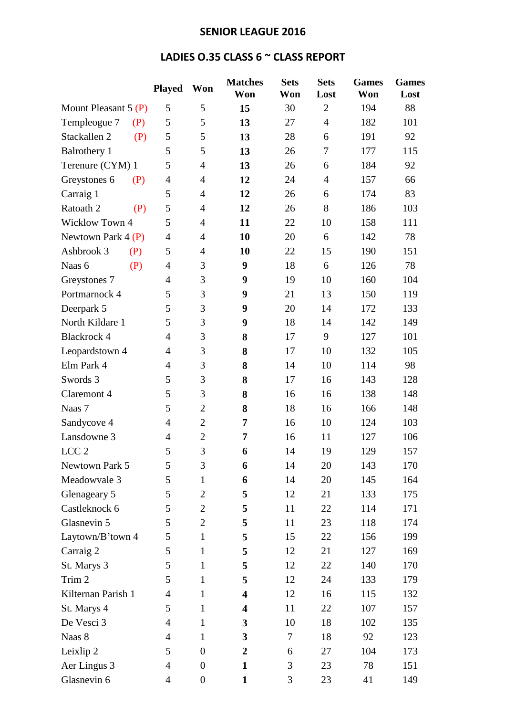## **SENIOR LEAGUE 2016**

## **LADIES O.35 CLASS 6 ~ CLASS REPORT**

|                       | <b>Played</b>  | Won              | <b>Matches</b><br>Won   | <b>Sets</b><br>Won | <b>Sets</b><br>Lost | <b>Games</b><br>Won | <b>Games</b><br>Lost |
|-----------------------|----------------|------------------|-------------------------|--------------------|---------------------|---------------------|----------------------|
| Mount Pleasant 5 (P)  | 5              | 5                | 15                      | 30                 | $\overline{2}$      | 194                 | 88                   |
| Templeogue 7<br>(P)   | 5              | 5                | 13                      | 27                 | $\overline{4}$      | 182                 | 101                  |
| Stackallen 2<br>(P)   | 5              | 5                | 13                      | 28                 | 6                   | 191                 | 92                   |
| <b>Balrothery 1</b>   | 5              | 5                | 13                      | 26                 | 7                   | 177                 | 115                  |
| Terenure (CYM) 1      | 5              | $\overline{4}$   | 13                      | 26                 | 6                   | 184                 | 92                   |
| Greystones 6<br>(P)   | $\overline{4}$ | $\overline{4}$   | 12                      | 24                 | $\overline{4}$      | 157                 | 66                   |
| Carraig 1             | 5              | $\overline{4}$   | 12                      | 26                 | 6                   | 174                 | 83                   |
| Ratoath 2<br>(P)      | 5              | $\overline{4}$   | 12                      | 26                 | 8                   | 186                 | 103                  |
| <b>Wicklow Town 4</b> | 5              | $\overline{4}$   | 11                      | 22                 | 10                  | 158                 | 111                  |
| Newtown Park $4(P)$   | $\overline{4}$ | 4                | 10                      | 20                 | 6                   | 142                 | 78                   |
| Ashbrook 3<br>(P)     | 5              | $\overline{4}$   | 10                      | 22                 | 15                  | 190                 | 151                  |
| Naas 6<br>(P)         | $\overline{4}$ | 3                | 9                       | 18                 | 6                   | 126                 | 78                   |
| Greystones 7          | $\overline{4}$ | 3                | 9                       | 19                 | 10                  | 160                 | 104                  |
| Portmarnock 4         | 5              | 3                | 9                       | 21                 | 13                  | 150                 | 119                  |
| Deerpark 5            | 5              | 3                | 9                       | 20                 | 14                  | 172                 | 133                  |
| North Kildare 1       | 5              | 3                | 9                       | 18                 | 14                  | 142                 | 149                  |
| <b>Blackrock 4</b>    | $\overline{4}$ | 3                | 8                       | 17                 | 9                   | 127                 | 101                  |
| Leopardstown 4        | $\overline{4}$ | 3                | 8                       | 17                 | 10                  | 132                 | 105                  |
| Elm Park 4            | 4              | 3                | 8                       | 14                 | 10                  | 114                 | 98                   |
| Swords 3              | 5              | 3                | 8                       | 17                 | 16                  | 143                 | 128                  |
| Claremont 4           | 5              | 3                | 8                       | 16                 | 16                  | 138                 | 148                  |
| Naas 7                | 5              | $\overline{2}$   | 8                       | 18                 | 16                  | 166                 | 148                  |
| Sandycove 4           | $\overline{4}$ | $\overline{2}$   | 7                       | 16                 | 10                  | 124                 | 103                  |
| Lansdowne 3           | 4              | $\overline{2}$   | 7                       | 16                 | 11                  | 127                 | 106                  |
| LCC <sub>2</sub>      | 5              | 3                | 6                       | 14                 | 19                  | 129                 | 157                  |
| Newtown Park 5        | 5              | 3                | 6                       | 14                 | 20                  | 143                 | 170                  |
| Meadowvale 3          | 5              | $\mathbf{1}$     | 6                       | 14                 | 20                  | 145                 | 164                  |
| Glenageary 5          | 5              | $\overline{2}$   | 5                       | 12                 | 21                  | 133                 | 175                  |
| Castleknock 6         | 5              | $\overline{2}$   | 5                       | 11                 | 22                  | 114                 | 171                  |
| Glasnevin 5           | 5              | $\overline{2}$   | 5                       | 11                 | 23                  | 118                 | 174                  |
| Laytown/B'town 4      | 5              | $\mathbf{1}$     | 5                       | 15                 | 22                  | 156                 | 199                  |
| Carraig 2             | 5              | $\mathbf{1}$     | 5                       | 12                 | 21                  | 127                 | 169                  |
| St. Marys 3           | 5              | 1                | 5                       | 12                 | 22                  | 140                 | 170                  |
| Trim 2                | 5              | 1                | 5                       | 12                 | 24                  | 133                 | 179                  |
| Kilternan Parish 1    | 4              | $\mathbf{1}$     | $\overline{\mathbf{4}}$ | 12                 | 16                  | 115                 | 132                  |
| St. Marys 4           | 5              | $\mathbf{1}$     | $\overline{\mathbf{4}}$ | 11                 | 22                  | 107                 | 157                  |
| De Vesci 3            | 4              | $\mathbf{1}$     | 3                       | 10                 | 18                  | 102                 | 135                  |
| Naas 8                | 4              | $\mathbf{1}$     | 3                       | $\tau$             | 18                  | 92                  | 123                  |
| Leixlip 2             | 5              | $\boldsymbol{0}$ | $\boldsymbol{2}$        | 6                  | 27                  | 104                 | 173                  |
| Aer Lingus 3          | $\overline{4}$ | $\boldsymbol{0}$ | $\mathbf{1}$            | 3                  | 23                  | 78                  | 151                  |
| Glasnevin 6           | 4              | $\boldsymbol{0}$ | $\mathbf{1}$            | 3                  | 23                  | 41                  | 149                  |